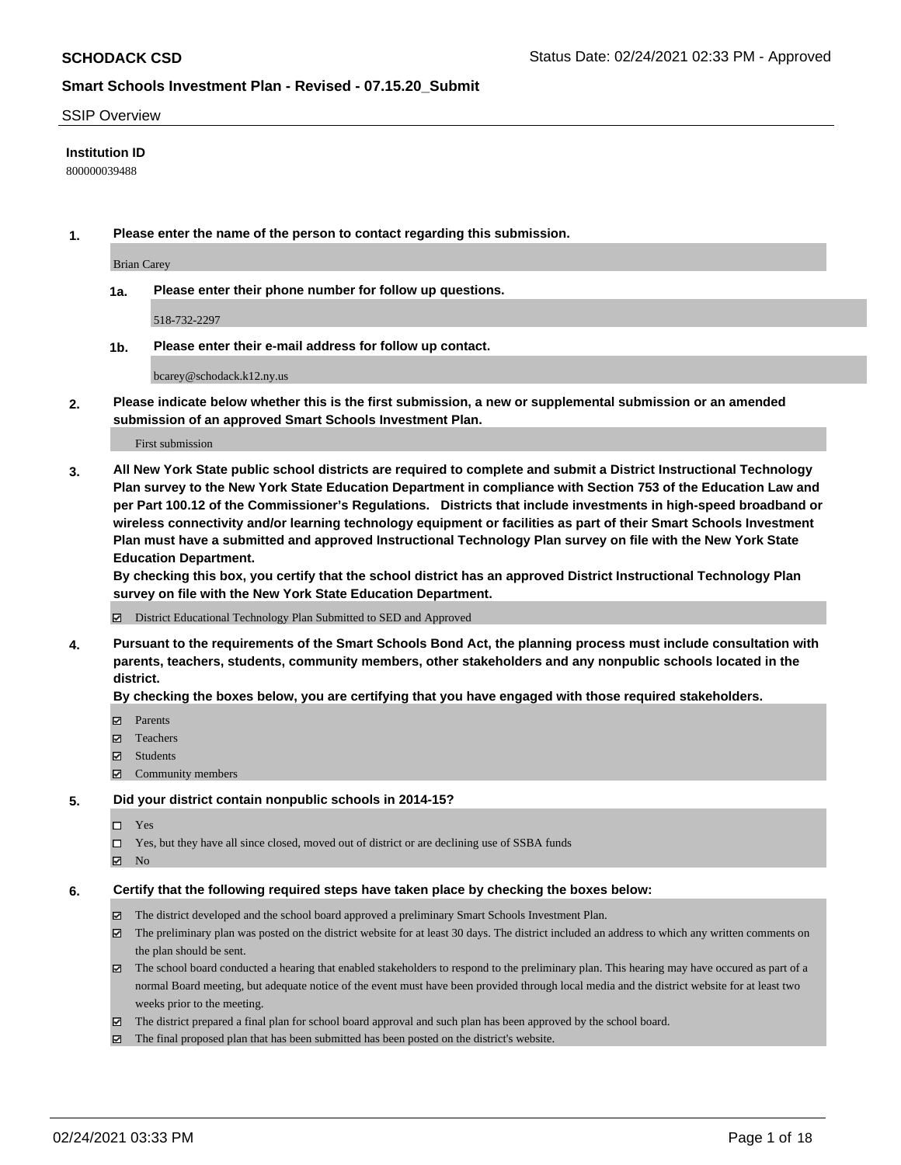#### SSIP Overview

#### **Institution ID**

800000039488

**1. Please enter the name of the person to contact regarding this submission.**

Brian Carey

**1a. Please enter their phone number for follow up questions.**

518-732-2297

**1b. Please enter their e-mail address for follow up contact.**

bcarey@schodack.k12.ny.us

**2. Please indicate below whether this is the first submission, a new or supplemental submission or an amended submission of an approved Smart Schools Investment Plan.**

#### First submission

**3. All New York State public school districts are required to complete and submit a District Instructional Technology Plan survey to the New York State Education Department in compliance with Section 753 of the Education Law and per Part 100.12 of the Commissioner's Regulations. Districts that include investments in high-speed broadband or wireless connectivity and/or learning technology equipment or facilities as part of their Smart Schools Investment Plan must have a submitted and approved Instructional Technology Plan survey on file with the New York State Education Department.** 

**By checking this box, you certify that the school district has an approved District Instructional Technology Plan survey on file with the New York State Education Department.**

District Educational Technology Plan Submitted to SED and Approved

**4. Pursuant to the requirements of the Smart Schools Bond Act, the planning process must include consultation with parents, teachers, students, community members, other stakeholders and any nonpublic schools located in the district.** 

#### **By checking the boxes below, you are certifying that you have engaged with those required stakeholders.**

- **Ø** Parents
- Teachers
- Students
- Community members

#### **5. Did your district contain nonpublic schools in 2014-15?**

- □ Yes
- □ Yes, but they have all since closed, moved out of district or are declining use of SSBA funds
- **Ø** No

#### **6. Certify that the following required steps have taken place by checking the boxes below:**

- The district developed and the school board approved a preliminary Smart Schools Investment Plan.
- The preliminary plan was posted on the district website for at least 30 days. The district included an address to which any written comments on the plan should be sent.
- The school board conducted a hearing that enabled stakeholders to respond to the preliminary plan. This hearing may have occured as part of a normal Board meeting, but adequate notice of the event must have been provided through local media and the district website for at least two weeks prior to the meeting.
- The district prepared a final plan for school board approval and such plan has been approved by the school board.
- $\boxtimes$  The final proposed plan that has been submitted has been posted on the district's website.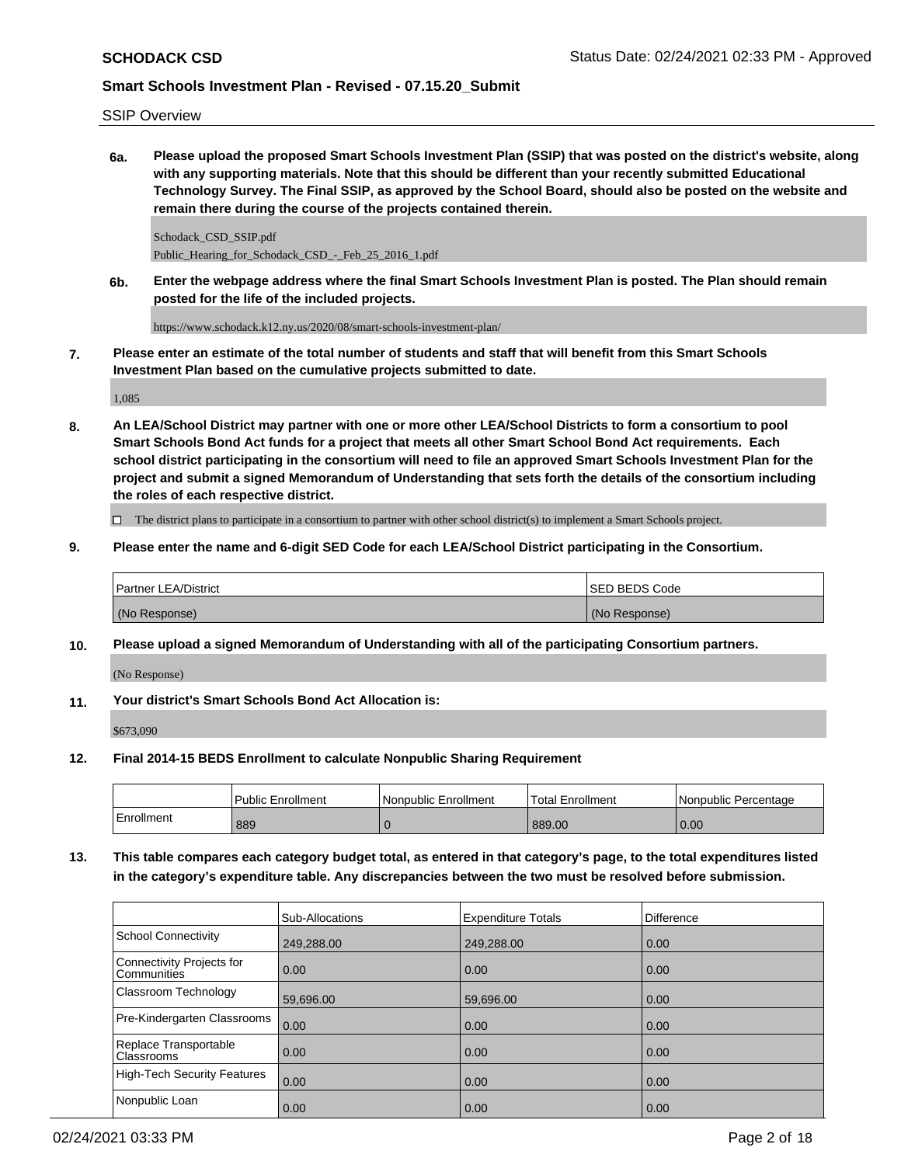SSIP Overview

**6a. Please upload the proposed Smart Schools Investment Plan (SSIP) that was posted on the district's website, along with any supporting materials. Note that this should be different than your recently submitted Educational Technology Survey. The Final SSIP, as approved by the School Board, should also be posted on the website and remain there during the course of the projects contained therein.**

Schodack\_CSD\_SSIP.pdf Public\_Hearing\_for\_Schodack\_CSD\_-\_Feb\_25\_2016\_1.pdf

**6b. Enter the webpage address where the final Smart Schools Investment Plan is posted. The Plan should remain posted for the life of the included projects.**

https://www.schodack.k12.ny.us/2020/08/smart-schools-investment-plan/

**7. Please enter an estimate of the total number of students and staff that will benefit from this Smart Schools Investment Plan based on the cumulative projects submitted to date.**

1,085

**8. An LEA/School District may partner with one or more other LEA/School Districts to form a consortium to pool Smart Schools Bond Act funds for a project that meets all other Smart School Bond Act requirements. Each school district participating in the consortium will need to file an approved Smart Schools Investment Plan for the project and submit a signed Memorandum of Understanding that sets forth the details of the consortium including the roles of each respective district.**

 $\Box$  The district plans to participate in a consortium to partner with other school district(s) to implement a Smart Schools project.

**9. Please enter the name and 6-digit SED Code for each LEA/School District participating in the Consortium.**

| <b>Partner LEA/District</b> | <b>ISED BEDS Code</b> |
|-----------------------------|-----------------------|
| (No Response)               | (No Response)         |

**10. Please upload a signed Memorandum of Understanding with all of the participating Consortium partners.**

(No Response)

**11. Your district's Smart Schools Bond Act Allocation is:**

\$673,090

**12. Final 2014-15 BEDS Enrollment to calculate Nonpublic Sharing Requirement**

|            | <b>Public Enrollment</b> | Nonpublic Enrollment | Total Enrollment | l Nonpublic Percentage |
|------------|--------------------------|----------------------|------------------|------------------------|
| Enrollment | 889                      |                      | 889.00           | 0.00                   |

**13. This table compares each category budget total, as entered in that category's page, to the total expenditures listed in the category's expenditure table. Any discrepancies between the two must be resolved before submission.**

|                                                 | Sub-Allocations | <b>Expenditure Totals</b> | <b>Difference</b> |
|-------------------------------------------------|-----------------|---------------------------|-------------------|
| School Connectivity                             | 249,288.00      | 249,288.00                | 0.00              |
| Connectivity Projects for<br><b>Communities</b> | 0.00            | 0.00                      | 0.00              |
| Classroom Technology                            | 59,696.00       | 59,696.00                 | 0.00              |
| Pre-Kindergarten Classrooms                     | 0.00            | 0.00                      | 0.00              |
| Replace Transportable<br>Classrooms             | 0.00            | 0.00                      | 0.00              |
| High-Tech Security Features                     | 0.00            | 0.00                      | 0.00              |
| Nonpublic Loan                                  | 0.00            | 0.00                      | 0.00              |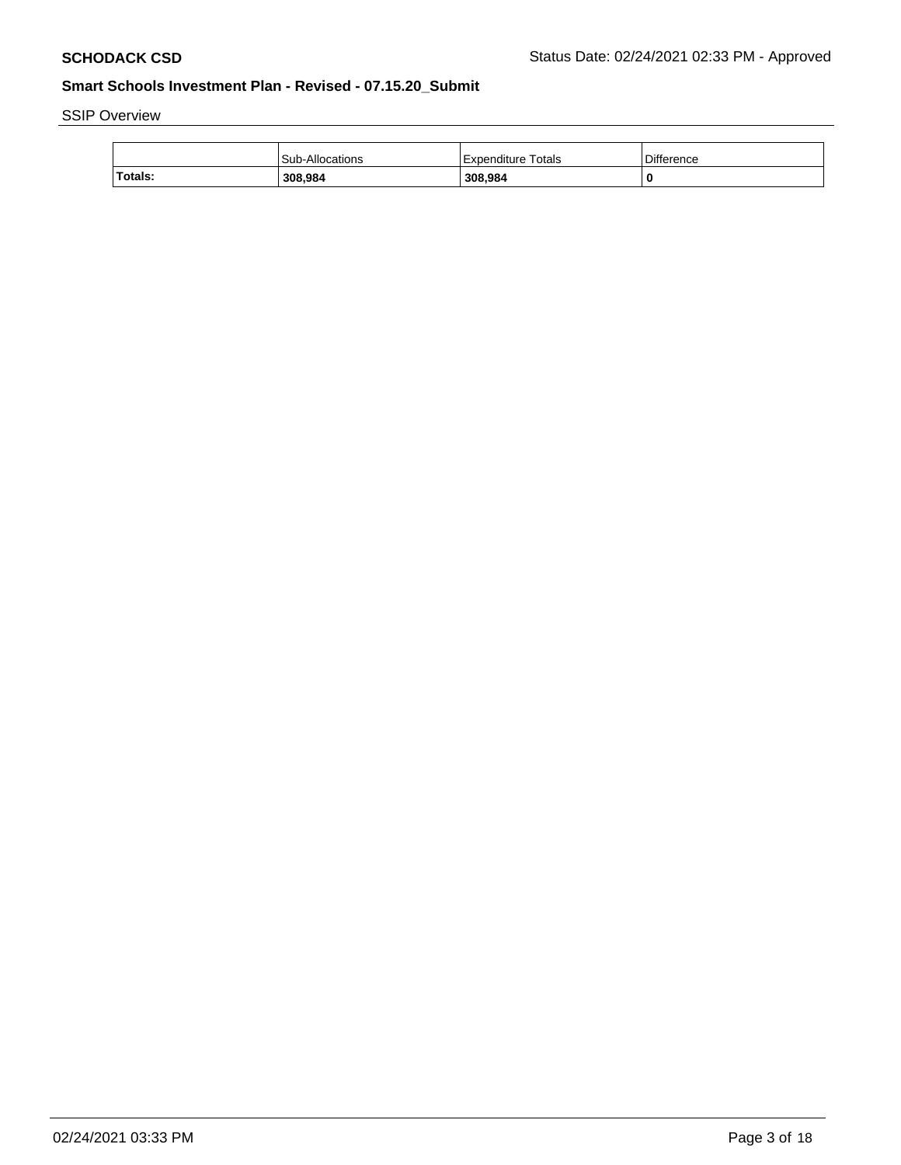SSIP Overview

|         | Sub-Allocations | Expenditure Totals | Difference |
|---------|-----------------|--------------------|------------|
| Totals: | 308,984         | 308.984            |            |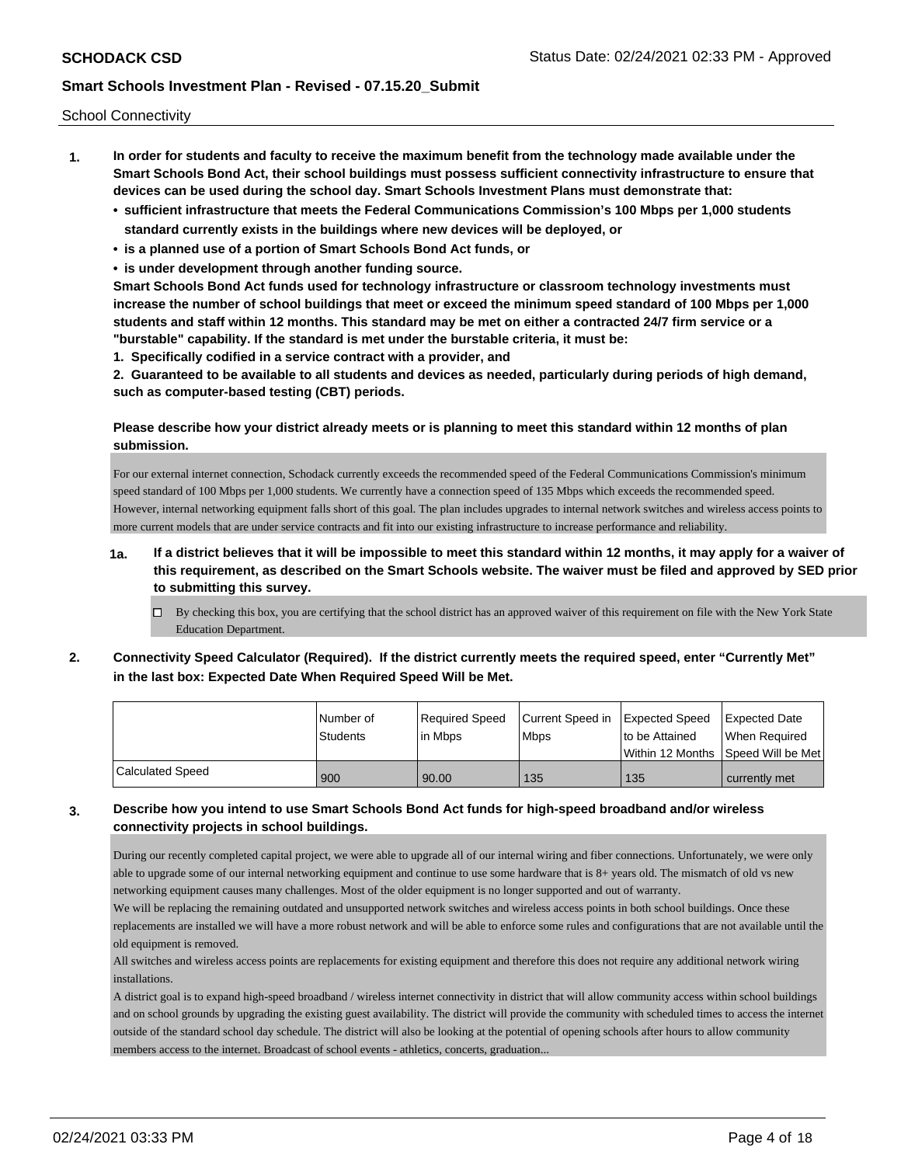School Connectivity

- **1. In order for students and faculty to receive the maximum benefit from the technology made available under the Smart Schools Bond Act, their school buildings must possess sufficient connectivity infrastructure to ensure that devices can be used during the school day. Smart Schools Investment Plans must demonstrate that:**
	- **• sufficient infrastructure that meets the Federal Communications Commission's 100 Mbps per 1,000 students standard currently exists in the buildings where new devices will be deployed, or**
	- **• is a planned use of a portion of Smart Schools Bond Act funds, or**
	- **• is under development through another funding source.**

**Smart Schools Bond Act funds used for technology infrastructure or classroom technology investments must increase the number of school buildings that meet or exceed the minimum speed standard of 100 Mbps per 1,000 students and staff within 12 months. This standard may be met on either a contracted 24/7 firm service or a "burstable" capability. If the standard is met under the burstable criteria, it must be:**

**1. Specifically codified in a service contract with a provider, and**

**2. Guaranteed to be available to all students and devices as needed, particularly during periods of high demand, such as computer-based testing (CBT) periods.**

### **Please describe how your district already meets or is planning to meet this standard within 12 months of plan submission.**

For our external internet connection, Schodack currently exceeds the recommended speed of the Federal Communications Commission's minimum speed standard of 100 Mbps per 1,000 students. We currently have a connection speed of 135 Mbps which exceeds the recommended speed. However, internal networking equipment falls short of this goal. The plan includes upgrades to internal network switches and wireless access points to more current models that are under service contracts and fit into our existing infrastructure to increase performance and reliability.

- **1a. If a district believes that it will be impossible to meet this standard within 12 months, it may apply for a waiver of this requirement, as described on the Smart Schools website. The waiver must be filed and approved by SED prior to submitting this survey.**
	- $\Box$  By checking this box, you are certifying that the school district has an approved waiver of this requirement on file with the New York State Education Department.
- **2. Connectivity Speed Calculator (Required). If the district currently meets the required speed, enter "Currently Met" in the last box: Expected Date When Required Speed Will be Met.**

|                  | l Number of | Required Speed | Current Speed in | Expected Speed | <b>Expected Date</b>                    |
|------------------|-------------|----------------|------------------|----------------|-----------------------------------------|
|                  | Students    | l in Mbps      | <b>Mbps</b>      | to be Attained | When Required                           |
|                  |             |                |                  |                | l Within 12 Months ISpeed Will be Met l |
| Calculated Speed | 900         | 90.00          | 135              | 135            | currently met                           |

# **3. Describe how you intend to use Smart Schools Bond Act funds for high-speed broadband and/or wireless connectivity projects in school buildings.**

During our recently completed capital project, we were able to upgrade all of our internal wiring and fiber connections. Unfortunately, we were only able to upgrade some of our internal networking equipment and continue to use some hardware that is 8+ years old. The mismatch of old vs new networking equipment causes many challenges. Most of the older equipment is no longer supported and out of warranty.

We will be replacing the remaining outdated and unsupported network switches and wireless access points in both school buildings. Once these replacements are installed we will have a more robust network and will be able to enforce some rules and configurations that are not available until the old equipment is removed.

All switches and wireless access points are replacements for existing equipment and therefore this does not require any additional network wiring installations.

A district goal is to expand high-speed broadband / wireless internet connectivity in district that will allow community access within school buildings and on school grounds by upgrading the existing guest availability. The district will provide the community with scheduled times to access the internet outside of the standard school day schedule. The district will also be looking at the potential of opening schools after hours to allow community members access to the internet. Broadcast of school events - athletics, concerts, graduation...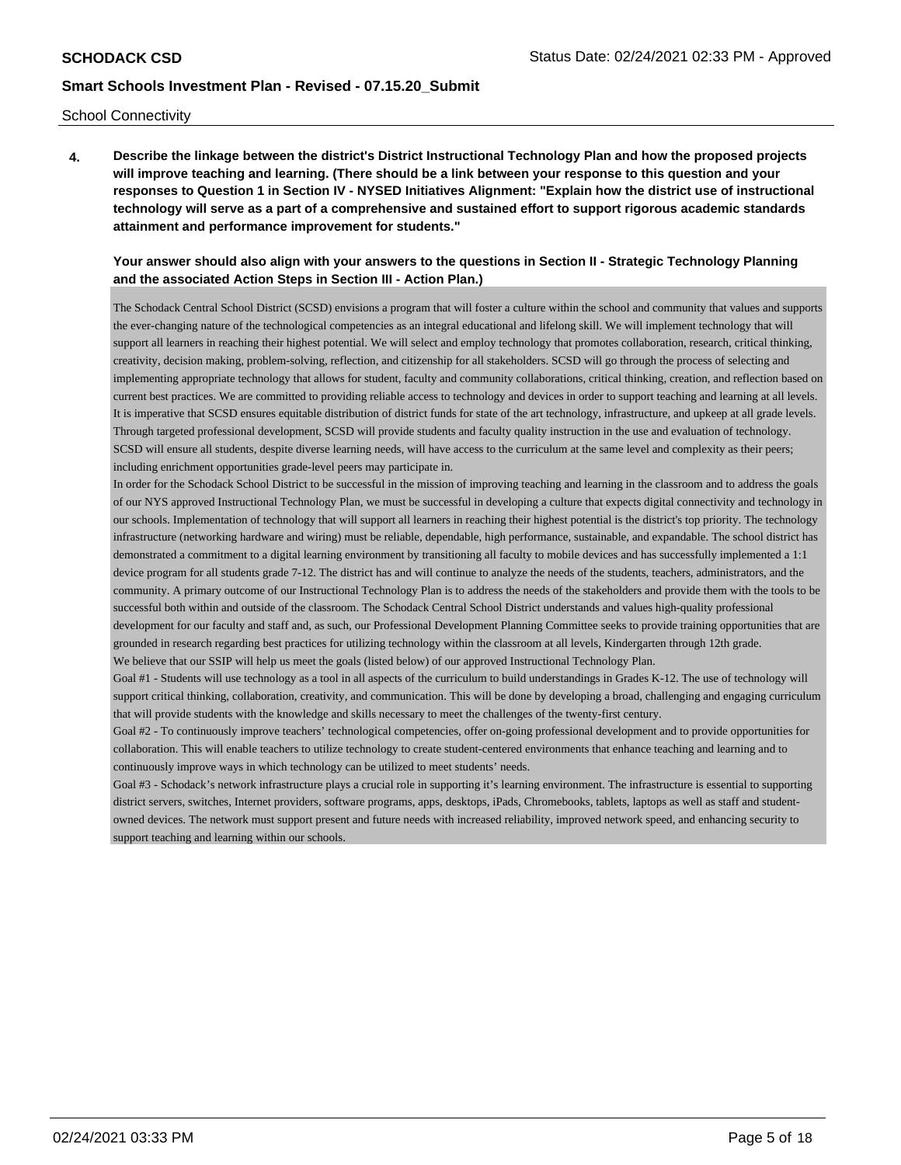School Connectivity

**4. Describe the linkage between the district's District Instructional Technology Plan and how the proposed projects will improve teaching and learning. (There should be a link between your response to this question and your responses to Question 1 in Section IV - NYSED Initiatives Alignment: "Explain how the district use of instructional technology will serve as a part of a comprehensive and sustained effort to support rigorous academic standards attainment and performance improvement for students."** 

#### **Your answer should also align with your answers to the questions in Section II - Strategic Technology Planning and the associated Action Steps in Section III - Action Plan.)**

The Schodack Central School District (SCSD) envisions a program that will foster a culture within the school and community that values and supports the ever-changing nature of the technological competencies as an integral educational and lifelong skill. We will implement technology that will support all learners in reaching their highest potential. We will select and employ technology that promotes collaboration, research, critical thinking, creativity, decision making, problem-solving, reflection, and citizenship for all stakeholders. SCSD will go through the process of selecting and implementing appropriate technology that allows for student, faculty and community collaborations, critical thinking, creation, and reflection based on current best practices. We are committed to providing reliable access to technology and devices in order to support teaching and learning at all levels. It is imperative that SCSD ensures equitable distribution of district funds for state of the art technology, infrastructure, and upkeep at all grade levels. Through targeted professional development, SCSD will provide students and faculty quality instruction in the use and evaluation of technology. SCSD will ensure all students, despite diverse learning needs, will have access to the curriculum at the same level and complexity as their peers; including enrichment opportunities grade-level peers may participate in.

In order for the Schodack School District to be successful in the mission of improving teaching and learning in the classroom and to address the goals of our NYS approved Instructional Technology Plan, we must be successful in developing a culture that expects digital connectivity and technology in our schools. Implementation of technology that will support all learners in reaching their highest potential is the district's top priority. The technology infrastructure (networking hardware and wiring) must be reliable, dependable, high performance, sustainable, and expandable. The school district has demonstrated a commitment to a digital learning environment by transitioning all faculty to mobile devices and has successfully implemented a 1:1 device program for all students grade 7-12. The district has and will continue to analyze the needs of the students, teachers, administrators, and the community. A primary outcome of our Instructional Technology Plan is to address the needs of the stakeholders and provide them with the tools to be successful both within and outside of the classroom. The Schodack Central School District understands and values high-quality professional development for our faculty and staff and, as such, our Professional Development Planning Committee seeks to provide training opportunities that are grounded in research regarding best practices for utilizing technology within the classroom at all levels, Kindergarten through 12th grade. We believe that our SSIP will help us meet the goals (listed below) of our approved Instructional Technology Plan.

Goal #1 - Students will use technology as a tool in all aspects of the curriculum to build understandings in Grades K-12. The use of technology will support critical thinking, collaboration, creativity, and communication. This will be done by developing a broad, challenging and engaging curriculum that will provide students with the knowledge and skills necessary to meet the challenges of the twenty-first century.

Goal #2 - To continuously improve teachers' technological competencies, offer on-going professional development and to provide opportunities for collaboration. This will enable teachers to utilize technology to create student-centered environments that enhance teaching and learning and to continuously improve ways in which technology can be utilized to meet students' needs.

Goal #3 - Schodack's network infrastructure plays a crucial role in supporting it's learning environment. The infrastructure is essential to supporting district servers, switches, Internet providers, software programs, apps, desktops, iPads, Chromebooks, tablets, laptops as well as staff and studentowned devices. The network must support present and future needs with increased reliability, improved network speed, and enhancing security to support teaching and learning within our schools.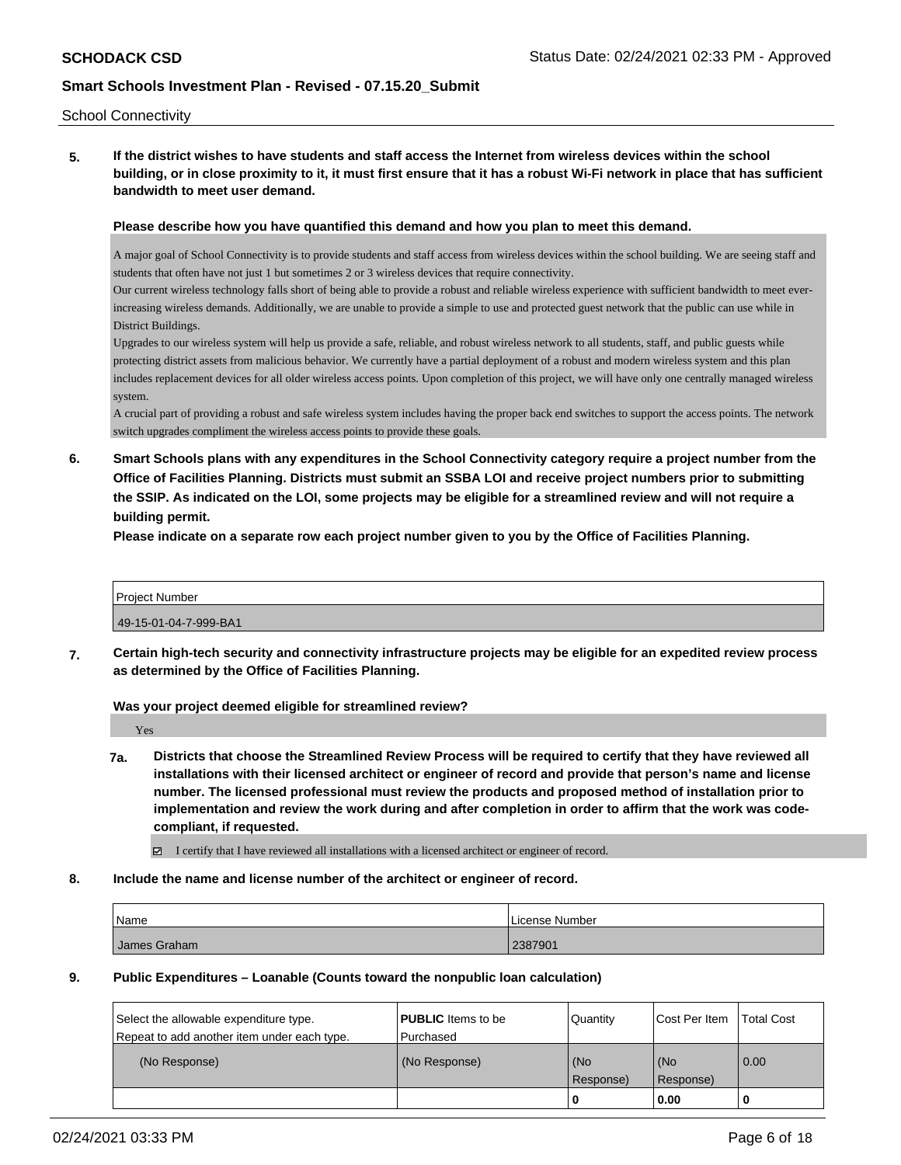#### School Connectivity

**5. If the district wishes to have students and staff access the Internet from wireless devices within the school building, or in close proximity to it, it must first ensure that it has a robust Wi-Fi network in place that has sufficient bandwidth to meet user demand.**

#### **Please describe how you have quantified this demand and how you plan to meet this demand.**

A major goal of School Connectivity is to provide students and staff access from wireless devices within the school building. We are seeing staff and students that often have not just 1 but sometimes 2 or 3 wireless devices that require connectivity.

Our current wireless technology falls short of being able to provide a robust and reliable wireless experience with sufficient bandwidth to meet everincreasing wireless demands. Additionally, we are unable to provide a simple to use and protected guest network that the public can use while in District Buildings.

Upgrades to our wireless system will help us provide a safe, reliable, and robust wireless network to all students, staff, and public guests while protecting district assets from malicious behavior. We currently have a partial deployment of a robust and modern wireless system and this plan includes replacement devices for all older wireless access points. Upon completion of this project, we will have only one centrally managed wireless system.

A crucial part of providing a robust and safe wireless system includes having the proper back end switches to support the access points. The network switch upgrades compliment the wireless access points to provide these goals.

**6. Smart Schools plans with any expenditures in the School Connectivity category require a project number from the Office of Facilities Planning. Districts must submit an SSBA LOI and receive project numbers prior to submitting the SSIP. As indicated on the LOI, some projects may be eligible for a streamlined review and will not require a building permit.**

**Please indicate on a separate row each project number given to you by the Office of Facilities Planning.**

Project Number 49-15-01-04-7-999-BA1

**7. Certain high-tech security and connectivity infrastructure projects may be eligible for an expedited review process as determined by the Office of Facilities Planning.**

**Was your project deemed eligible for streamlined review?**

Yes

**7a. Districts that choose the Streamlined Review Process will be required to certify that they have reviewed all installations with their licensed architect or engineer of record and provide that person's name and license number. The licensed professional must review the products and proposed method of installation prior to implementation and review the work during and after completion in order to affirm that the work was codecompliant, if requested.**

I certify that I have reviewed all installations with a licensed architect or engineer of record.

**8. Include the name and license number of the architect or engineer of record.**

| Name         | License Number |
|--------------|----------------|
| James Graham | 2387901        |

**9. Public Expenditures – Loanable (Counts toward the nonpublic loan calculation)**

|                                                                                       |                                        |                  | 0.00                 |                   |
|---------------------------------------------------------------------------------------|----------------------------------------|------------------|----------------------|-------------------|
| (No Response)                                                                         | (No Response)                          | (No<br>Response) | (No<br>Response)     | 0.00              |
| Select the allowable expenditure type.<br>Repeat to add another item under each type. | <b>PUBLIC</b> Items to be<br>Purchased | Quantity         | <b>Cost Per Item</b> | <b>Total Cost</b> |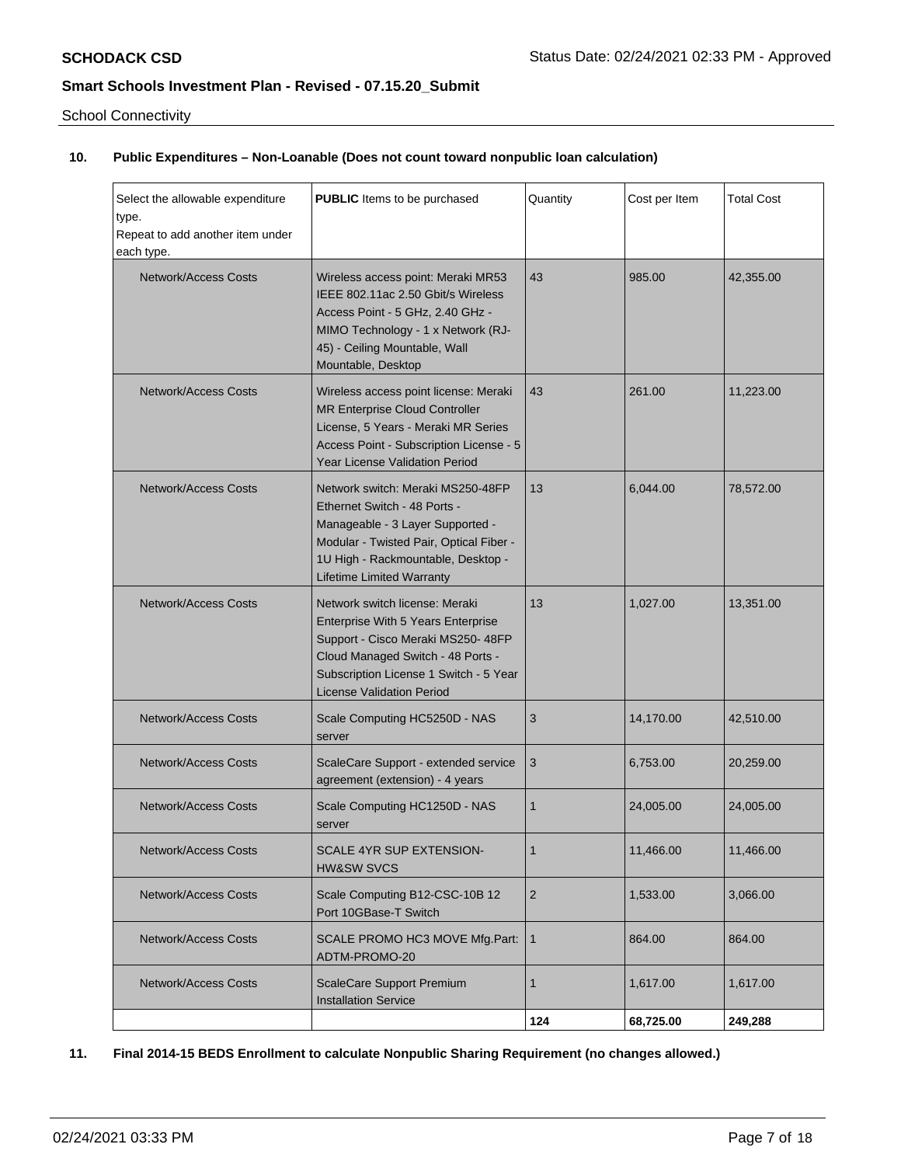School Connectivity

# **10. Public Expenditures – Non-Loanable (Does not count toward nonpublic loan calculation)**

| Select the allowable expenditure<br>type.<br>Repeat to add another item under<br>each type. | <b>PUBLIC</b> Items to be purchased                                                                                                                                                                                           | Quantity       | Cost per Item | <b>Total Cost</b> |
|---------------------------------------------------------------------------------------------|-------------------------------------------------------------------------------------------------------------------------------------------------------------------------------------------------------------------------------|----------------|---------------|-------------------|
| <b>Network/Access Costs</b>                                                                 | Wireless access point: Meraki MR53<br>IEEE 802.11ac 2.50 Gbit/s Wireless<br>Access Point - 5 GHz, 2.40 GHz -<br>MIMO Technology - 1 x Network (RJ-<br>45) - Ceiling Mountable, Wall<br>Mountable, Desktop                     | 43             | 985.00        | 42,355.00         |
| <b>Network/Access Costs</b>                                                                 | Wireless access point license: Meraki<br>MR Enterprise Cloud Controller<br>License, 5 Years - Meraki MR Series<br>Access Point - Subscription License - 5<br><b>Year License Validation Period</b>                            | 43             | 261.00        | 11.223.00         |
| Network/Access Costs                                                                        | Network switch: Meraki MS250-48FP<br>Ethernet Switch - 48 Ports -<br>Manageable - 3 Layer Supported -<br>Modular - Twisted Pair, Optical Fiber -<br>1U High - Rackmountable, Desktop -<br><b>Lifetime Limited Warranty</b>    | 13             | 6.044.00      | 78,572.00         |
| Network/Access Costs                                                                        | Network switch license: Meraki<br>Enterprise With 5 Years Enterprise<br>Support - Cisco Meraki MS250- 48FP<br>Cloud Managed Switch - 48 Ports -<br>Subscription License 1 Switch - 5 Year<br><b>License Validation Period</b> | 13             | 1,027.00      | 13,351.00         |
| <b>Network/Access Costs</b>                                                                 | Scale Computing HC5250D - NAS<br>server                                                                                                                                                                                       | 3              | 14,170.00     | 42,510.00         |
| <b>Network/Access Costs</b>                                                                 | ScaleCare Support - extended service<br>agreement (extension) - 4 years                                                                                                                                                       | 3              | 6,753.00      | 20,259.00         |
| Network/Access Costs                                                                        | Scale Computing HC1250D - NAS<br>server                                                                                                                                                                                       | 1              | 24,005.00     | 24,005.00         |
| Network/Access Costs                                                                        | SCALE 4YR SUP EXTENSION-<br><b>HW&amp;SW SVCS</b>                                                                                                                                                                             | 1              | 11,466.00     | 11,466.00         |
| <b>Network/Access Costs</b>                                                                 | Scale Computing B12-CSC-10B 12<br>Port 10GBase-T Switch                                                                                                                                                                       | $\overline{2}$ | 1,533.00      | 3,066.00          |
| <b>Network/Access Costs</b>                                                                 | SCALE PROMO HC3 MOVE Mfg.Part:<br>ADTM-PROMO-20                                                                                                                                                                               | $\mathbf{1}$   | 864.00        | 864.00            |
| <b>Network/Access Costs</b>                                                                 | <b>ScaleCare Support Premium</b><br><b>Installation Service</b>                                                                                                                                                               | $\mathbf{1}$   | 1,617.00      | 1,617.00          |
|                                                                                             |                                                                                                                                                                                                                               | 124            | 68,725.00     | 249,288           |

**11. Final 2014-15 BEDS Enrollment to calculate Nonpublic Sharing Requirement (no changes allowed.)**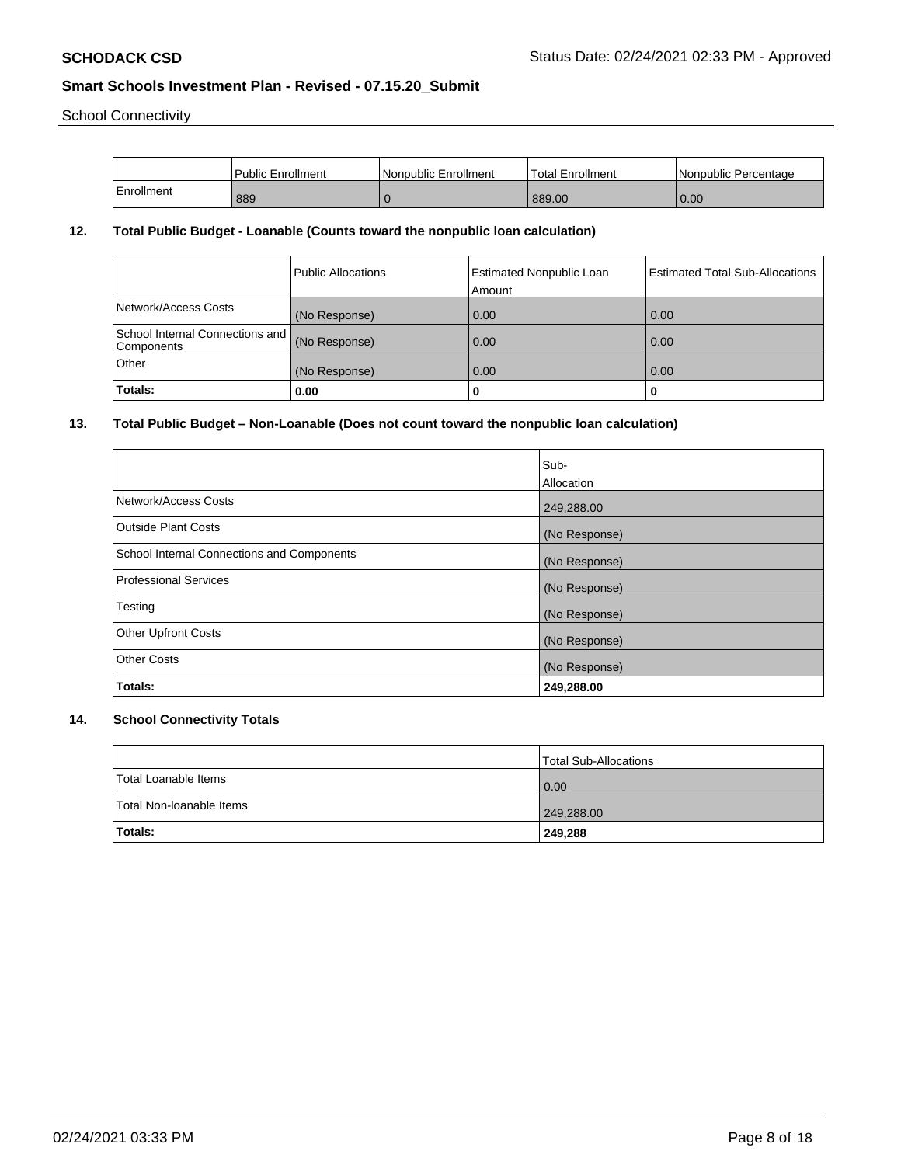School Connectivity

|            | Public Enrollment | l Nonpublic Enrollment | <b>Total Enrollment</b> | Nonpublic Percentage |
|------------|-------------------|------------------------|-------------------------|----------------------|
| Enrollment | 889               |                        | 889.00                  | 0.00                 |

### **12. Total Public Budget - Loanable (Counts toward the nonpublic loan calculation)**

|                                                 | Public Allocations | <b>Estimated Nonpublic Loan</b><br>Amount | <b>Estimated Total Sub-Allocations</b> |
|-------------------------------------------------|--------------------|-------------------------------------------|----------------------------------------|
| Network/Access Costs                            | (No Response)      | 0.00                                      | 0.00                                   |
| School Internal Connections and  <br>Components | (No Response)      | 0.00                                      | 0.00                                   |
| Other                                           | (No Response)      | 0.00                                      | 0.00                                   |
| Totals:                                         | 0.00               |                                           |                                        |

### **13. Total Public Budget – Non-Loanable (Does not count toward the nonpublic loan calculation)**

|                                            | Sub-                     |
|--------------------------------------------|--------------------------|
| Network/Access Costs                       | Allocation<br>249,288.00 |
| <b>Outside Plant Costs</b>                 | (No Response)            |
| School Internal Connections and Components | (No Response)            |
| <b>Professional Services</b>               | (No Response)            |
| Testing                                    | (No Response)            |
| <b>Other Upfront Costs</b>                 | (No Response)            |
| <b>Other Costs</b>                         | (No Response)            |
| Totals:                                    | 249,288.00               |

# **14. School Connectivity Totals**

|                          | Total Sub-Allocations |
|--------------------------|-----------------------|
| Total Loanable Items     | 0.00                  |
| Total Non-Ioanable Items | 249,288.00            |
| <b>Totals:</b>           | 249,288               |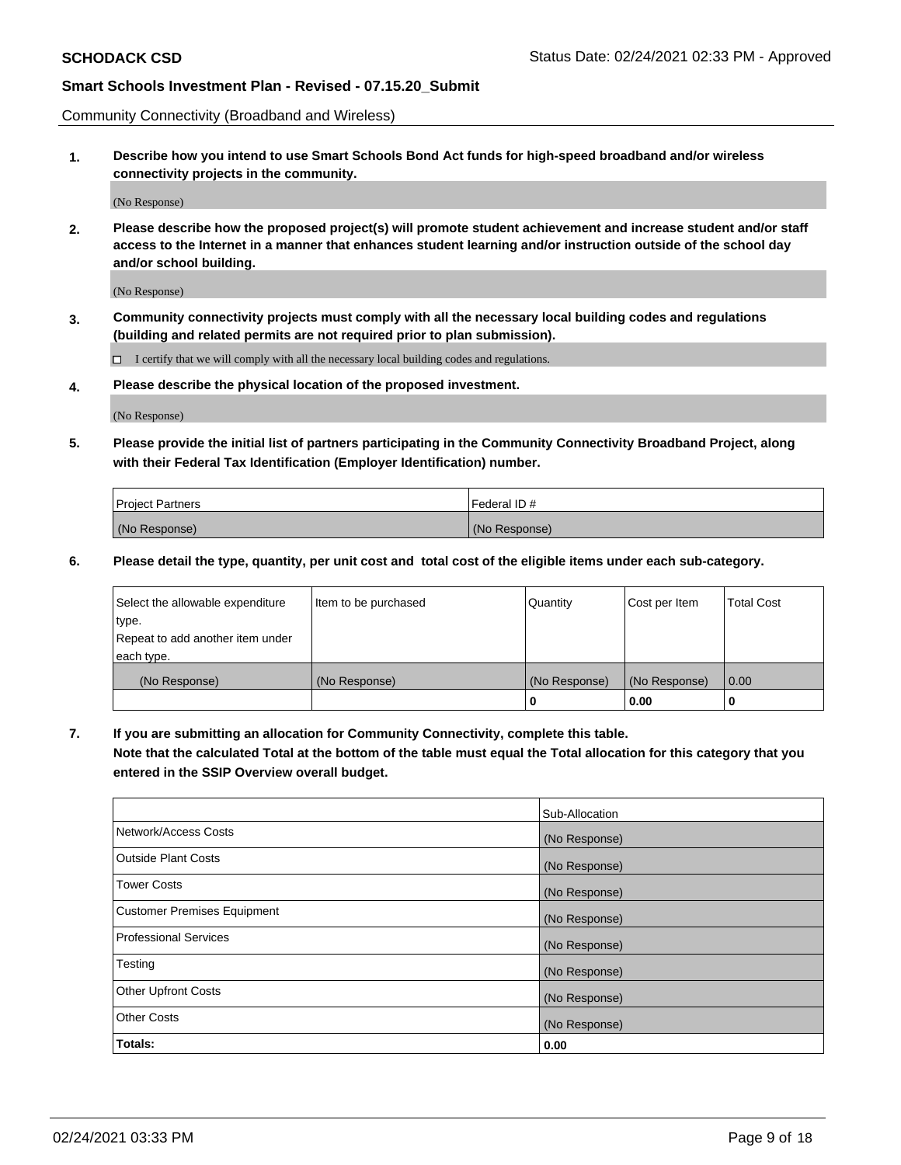Community Connectivity (Broadband and Wireless)

**1. Describe how you intend to use Smart Schools Bond Act funds for high-speed broadband and/or wireless connectivity projects in the community.**

(No Response)

**2. Please describe how the proposed project(s) will promote student achievement and increase student and/or staff access to the Internet in a manner that enhances student learning and/or instruction outside of the school day and/or school building.**

(No Response)

**3. Community connectivity projects must comply with all the necessary local building codes and regulations (building and related permits are not required prior to plan submission).**

 $\Box$  I certify that we will comply with all the necessary local building codes and regulations.

**4. Please describe the physical location of the proposed investment.**

(No Response)

**5. Please provide the initial list of partners participating in the Community Connectivity Broadband Project, along with their Federal Tax Identification (Employer Identification) number.**

| <b>Project Partners</b> | l Federal ID # |
|-------------------------|----------------|
| (No Response)           | (No Response)  |

**6. Please detail the type, quantity, per unit cost and total cost of the eligible items under each sub-category.**

| Select the allowable expenditure | Item to be purchased | Quantity      | Cost per Item | <b>Total Cost</b> |
|----------------------------------|----------------------|---------------|---------------|-------------------|
| type.                            |                      |               |               |                   |
| Repeat to add another item under |                      |               |               |                   |
| each type.                       |                      |               |               |                   |
| (No Response)                    | (No Response)        | (No Response) | (No Response) | 0.00              |
|                                  |                      | o             | 0.00          |                   |

**7. If you are submitting an allocation for Community Connectivity, complete this table.**

**Note that the calculated Total at the bottom of the table must equal the Total allocation for this category that you entered in the SSIP Overview overall budget.**

|                                    | Sub-Allocation |
|------------------------------------|----------------|
| Network/Access Costs               | (No Response)  |
| Outside Plant Costs                | (No Response)  |
| <b>Tower Costs</b>                 | (No Response)  |
| <b>Customer Premises Equipment</b> | (No Response)  |
| <b>Professional Services</b>       | (No Response)  |
| Testing                            | (No Response)  |
| <b>Other Upfront Costs</b>         | (No Response)  |
| <b>Other Costs</b>                 | (No Response)  |
| Totals:                            | 0.00           |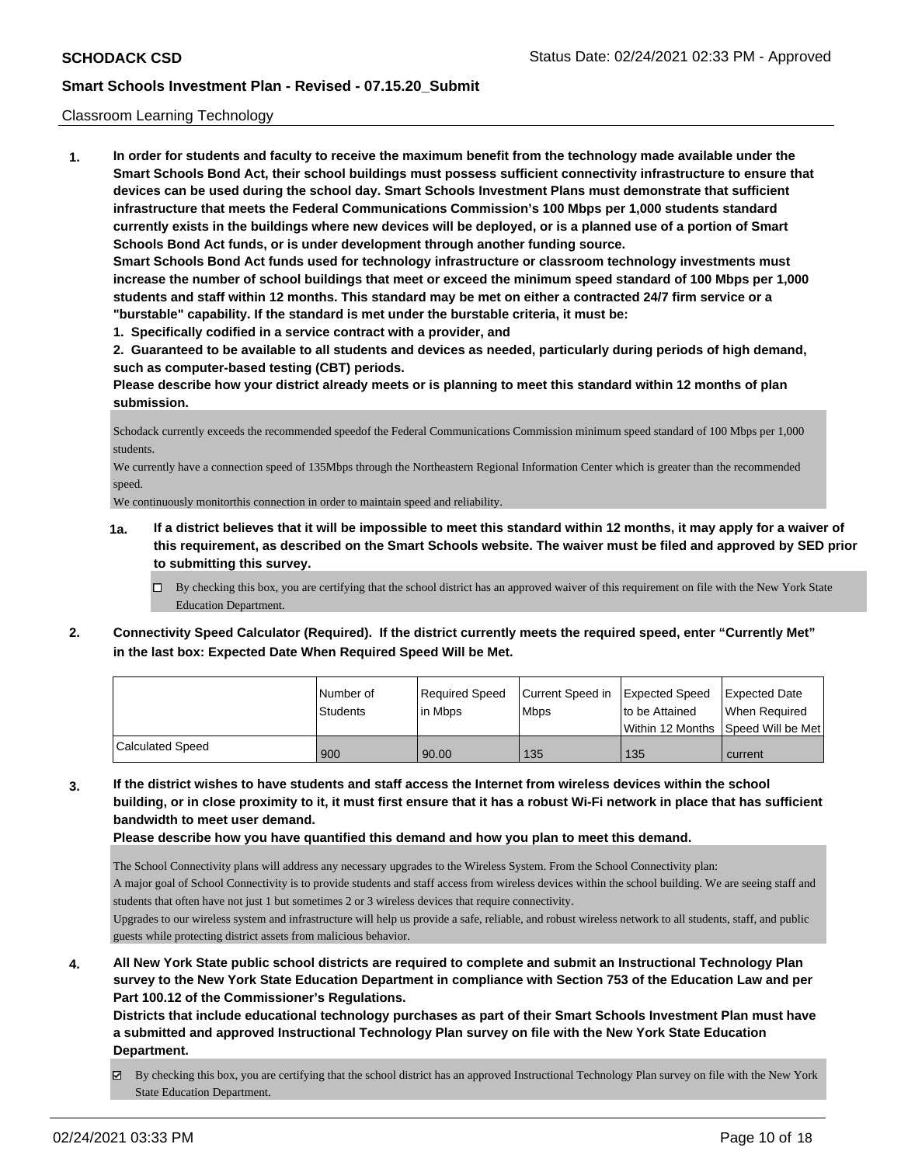#### Classroom Learning Technology

**1. In order for students and faculty to receive the maximum benefit from the technology made available under the Smart Schools Bond Act, their school buildings must possess sufficient connectivity infrastructure to ensure that devices can be used during the school day. Smart Schools Investment Plans must demonstrate that sufficient infrastructure that meets the Federal Communications Commission's 100 Mbps per 1,000 students standard currently exists in the buildings where new devices will be deployed, or is a planned use of a portion of Smart Schools Bond Act funds, or is under development through another funding source. Smart Schools Bond Act funds used for technology infrastructure or classroom technology investments must increase the number of school buildings that meet or exceed the minimum speed standard of 100 Mbps per 1,000 students and staff within 12 months. This standard may be met on either a contracted 24/7 firm service or a "burstable" capability. If the standard is met under the burstable criteria, it must be:**

**1. Specifically codified in a service contract with a provider, and**

**2. Guaranteed to be available to all students and devices as needed, particularly during periods of high demand, such as computer-based testing (CBT) periods.**

**Please describe how your district already meets or is planning to meet this standard within 12 months of plan submission.**

Schodack currently exceeds the recommended speedof the Federal Communications Commission minimum speed standard of 100 Mbps per 1,000 students.

We currently have a connection speed of 135Mbps through the Northeastern Regional Information Center which is greater than the recommended speed.

We continuously monitorthis connection in order to maintain speed and reliability.

- **1a. If a district believes that it will be impossible to meet this standard within 12 months, it may apply for a waiver of this requirement, as described on the Smart Schools website. The waiver must be filed and approved by SED prior to submitting this survey.**
	- By checking this box, you are certifying that the school district has an approved waiver of this requirement on file with the New York State Education Department.
- **2. Connectivity Speed Calculator (Required). If the district currently meets the required speed, enter "Currently Met" in the last box: Expected Date When Required Speed Will be Met.**

|                         | l Number of<br><b>Students</b> | Required Speed<br>l in Mbps | Current Speed in<br><b>Mbps</b> | Expected Speed<br>to be Attained<br>Within 12 Months 1Speed Will be Met1 | Expected Date<br>When Required |
|-------------------------|--------------------------------|-----------------------------|---------------------------------|--------------------------------------------------------------------------|--------------------------------|
|                         |                                |                             |                                 |                                                                          |                                |
| <b>Calculated Speed</b> | 900                            | 90.00                       | 135                             | 135                                                                      | current                        |

**3. If the district wishes to have students and staff access the Internet from wireless devices within the school building, or in close proximity to it, it must first ensure that it has a robust Wi-Fi network in place that has sufficient bandwidth to meet user demand.**

**Please describe how you have quantified this demand and how you plan to meet this demand.**

The School Connectivity plans will address any necessary upgrades to the Wireless System. From the School Connectivity plan:

A major goal of School Connectivity is to provide students and staff access from wireless devices within the school building. We are seeing staff and students that often have not just 1 but sometimes 2 or 3 wireless devices that require connectivity.

Upgrades to our wireless system and infrastructure will help us provide a safe, reliable, and robust wireless network to all students, staff, and public guests while protecting district assets from malicious behavior.

**4. All New York State public school districts are required to complete and submit an Instructional Technology Plan survey to the New York State Education Department in compliance with Section 753 of the Education Law and per Part 100.12 of the Commissioner's Regulations.**

**Districts that include educational technology purchases as part of their Smart Schools Investment Plan must have a submitted and approved Instructional Technology Plan survey on file with the New York State Education Department.**

By checking this box, you are certifying that the school district has an approved Instructional Technology Plan survey on file with the New York State Education Department.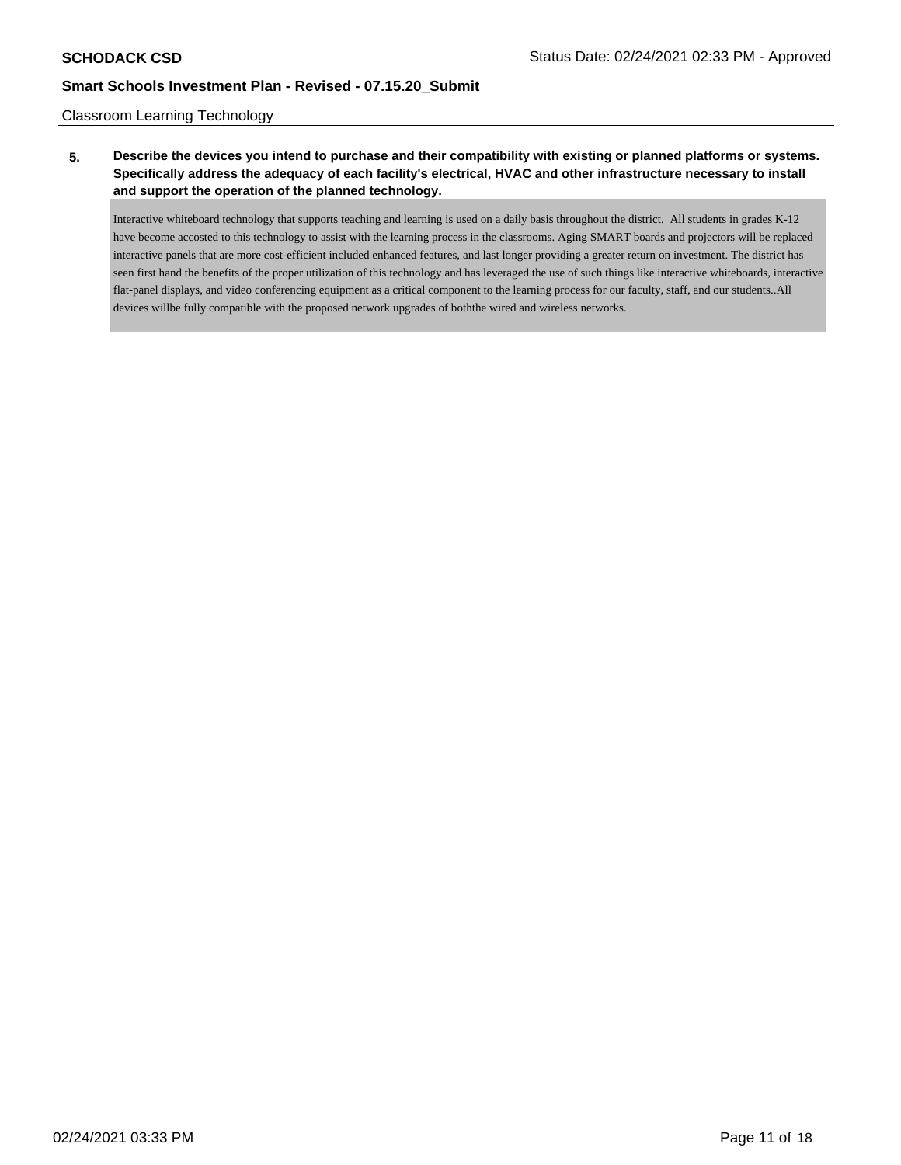#### Classroom Learning Technology

# **5. Describe the devices you intend to purchase and their compatibility with existing or planned platforms or systems. Specifically address the adequacy of each facility's electrical, HVAC and other infrastructure necessary to install and support the operation of the planned technology.**

Interactive whiteboard technology that supports teaching and learning is used on a daily basis throughout the district. All students in grades K-12 have become accosted to this technology to assist with the learning process in the classrooms. Aging SMART boards and projectors will be replaced interactive panels that are more cost-efficient included enhanced features, and last longer providing a greater return on investment. The district has seen first hand the benefits of the proper utilization of this technology and has leveraged the use of such things like interactive whiteboards, interactive flat-panel displays, and video conferencing equipment as a critical component to the learning process for our faculty, staff, and our students..All devices willbe fully compatible with the proposed network upgrades of boththe wired and wireless networks.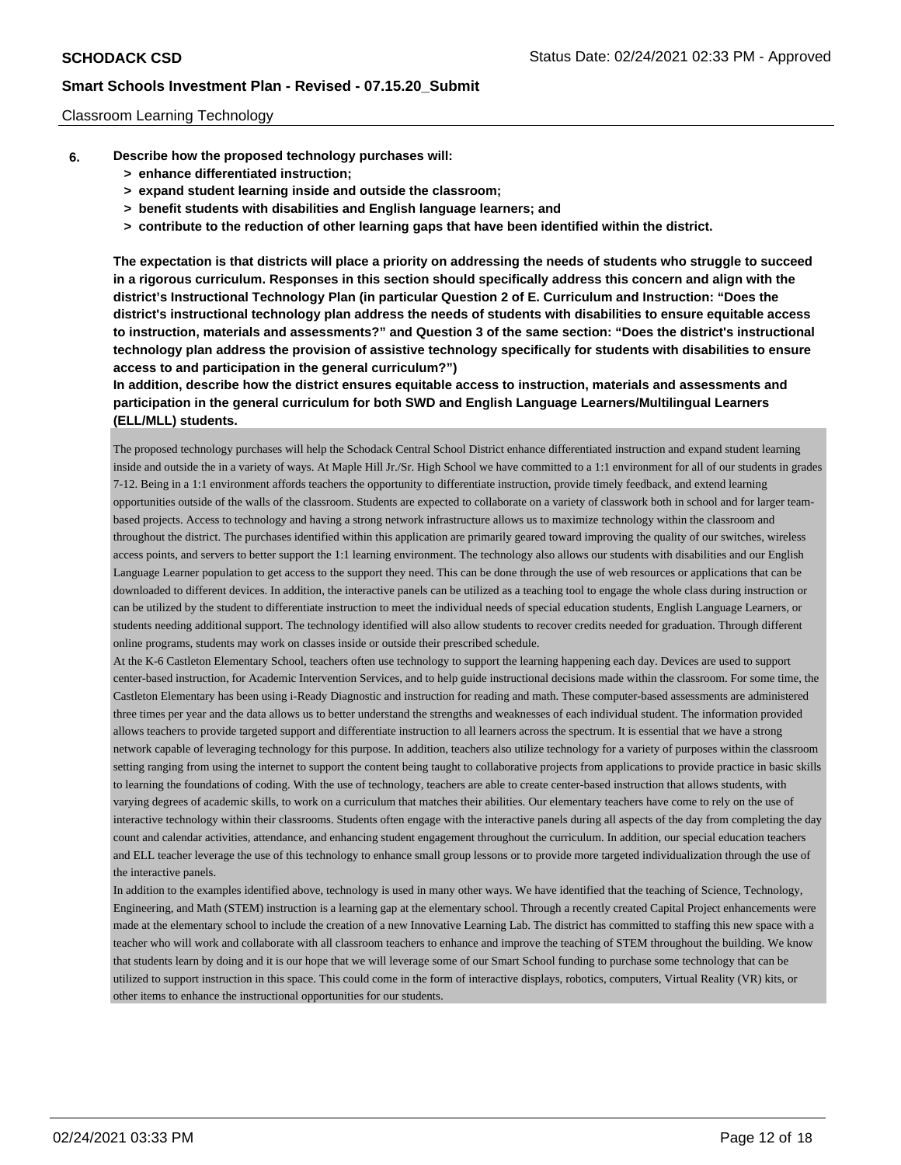#### Classroom Learning Technology

- **6. Describe how the proposed technology purchases will:**
	- **> enhance differentiated instruction;**
	- **> expand student learning inside and outside the classroom;**
	- **> benefit students with disabilities and English language learners; and**
	- **> contribute to the reduction of other learning gaps that have been identified within the district.**

**The expectation is that districts will place a priority on addressing the needs of students who struggle to succeed in a rigorous curriculum. Responses in this section should specifically address this concern and align with the district's Instructional Technology Plan (in particular Question 2 of E. Curriculum and Instruction: "Does the district's instructional technology plan address the needs of students with disabilities to ensure equitable access to instruction, materials and assessments?" and Question 3 of the same section: "Does the district's instructional technology plan address the provision of assistive technology specifically for students with disabilities to ensure access to and participation in the general curriculum?")**

**In addition, describe how the district ensures equitable access to instruction, materials and assessments and participation in the general curriculum for both SWD and English Language Learners/Multilingual Learners (ELL/MLL) students.**

The proposed technology purchases will help the Schodack Central School District enhance differentiated instruction and expand student learning inside and outside the in a variety of ways. At Maple Hill Jr./Sr. High School we have committed to a 1:1 environment for all of our students in grades 7-12. Being in a 1:1 environment affords teachers the opportunity to differentiate instruction, provide timely feedback, and extend learning opportunities outside of the walls of the classroom. Students are expected to collaborate on a variety of classwork both in school and for larger teambased projects. Access to technology and having a strong network infrastructure allows us to maximize technology within the classroom and throughout the district. The purchases identified within this application are primarily geared toward improving the quality of our switches, wireless access points, and servers to better support the 1:1 learning environment. The technology also allows our students with disabilities and our English Language Learner population to get access to the support they need. This can be done through the use of web resources or applications that can be downloaded to different devices. In addition, the interactive panels can be utilized as a teaching tool to engage the whole class during instruction or can be utilized by the student to differentiate instruction to meet the individual needs of special education students, English Language Learners, or students needing additional support. The technology identified will also allow students to recover credits needed for graduation. Through different online programs, students may work on classes inside or outside their prescribed schedule.

At the K-6 Castleton Elementary School, teachers often use technology to support the learning happening each day. Devices are used to support center-based instruction, for Academic Intervention Services, and to help guide instructional decisions made within the classroom. For some time, the Castleton Elementary has been using i-Ready Diagnostic and instruction for reading and math. These computer-based assessments are administered three times per year and the data allows us to better understand the strengths and weaknesses of each individual student. The information provided allows teachers to provide targeted support and differentiate instruction to all learners across the spectrum. It is essential that we have a strong network capable of leveraging technology for this purpose. In addition, teachers also utilize technology for a variety of purposes within the classroom setting ranging from using the internet to support the content being taught to collaborative projects from applications to provide practice in basic skills to learning the foundations of coding. With the use of technology, teachers are able to create center-based instruction that allows students, with varying degrees of academic skills, to work on a curriculum that matches their abilities. Our elementary teachers have come to rely on the use of interactive technology within their classrooms. Students often engage with the interactive panels during all aspects of the day from completing the day count and calendar activities, attendance, and enhancing student engagement throughout the curriculum. In addition, our special education teachers and ELL teacher leverage the use of this technology to enhance small group lessons or to provide more targeted individualization through the use of the interactive panels.

In addition to the examples identified above, technology is used in many other ways. We have identified that the teaching of Science, Technology, Engineering, and Math (STEM) instruction is a learning gap at the elementary school. Through a recently created Capital Project enhancements were made at the elementary school to include the creation of a new Innovative Learning Lab. The district has committed to staffing this new space with a teacher who will work and collaborate with all classroom teachers to enhance and improve the teaching of STEM throughout the building. We know that students learn by doing and it is our hope that we will leverage some of our Smart School funding to purchase some technology that can be utilized to support instruction in this space. This could come in the form of interactive displays, robotics, computers, Virtual Reality (VR) kits, or other items to enhance the instructional opportunities for our students.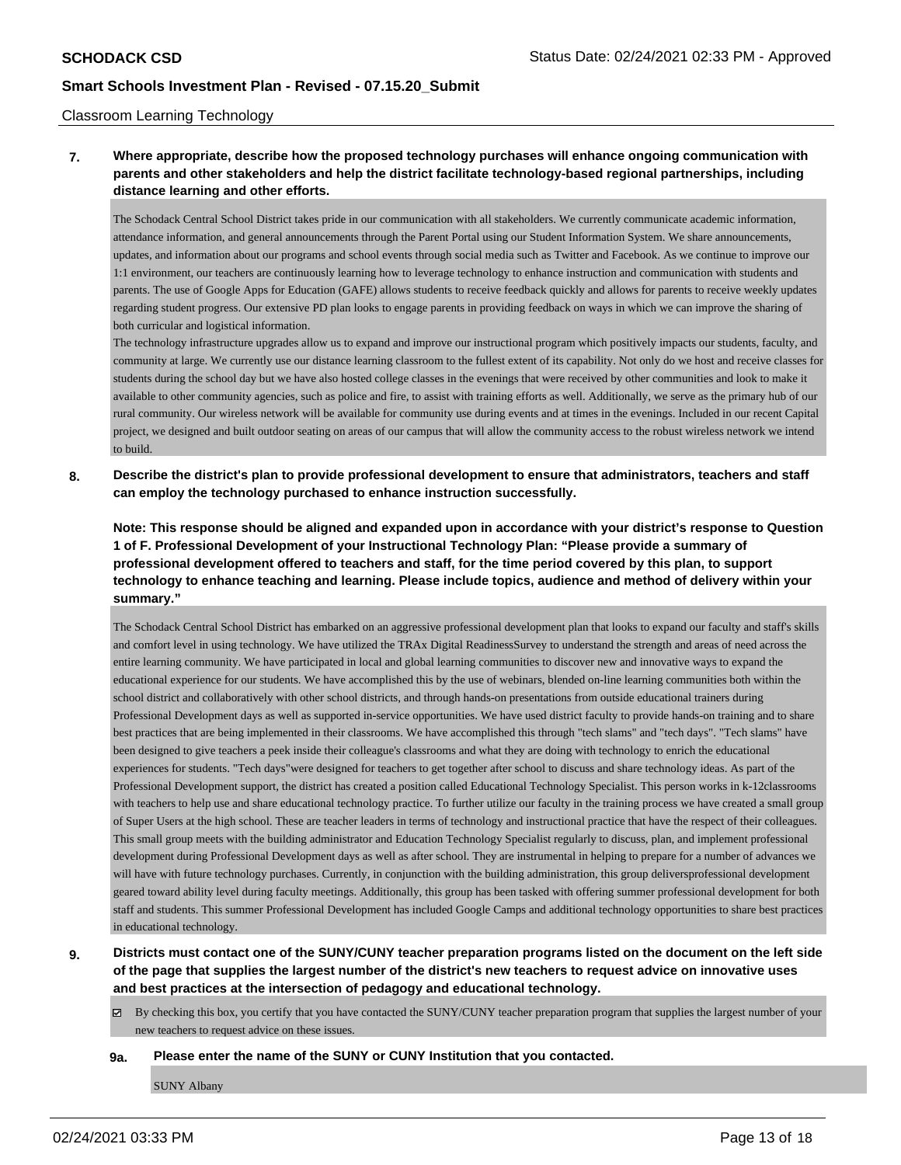#### Classroom Learning Technology

# **7. Where appropriate, describe how the proposed technology purchases will enhance ongoing communication with parents and other stakeholders and help the district facilitate technology-based regional partnerships, including distance learning and other efforts.**

The Schodack Central School District takes pride in our communication with all stakeholders. We currently communicate academic information, attendance information, and general announcements through the Parent Portal using our Student Information System. We share announcements, updates, and information about our programs and school events through social media such as Twitter and Facebook. As we continue to improve our 1:1 environment, our teachers are continuously learning how to leverage technology to enhance instruction and communication with students and parents. The use of Google Apps for Education (GAFE) allows students to receive feedback quickly and allows for parents to receive weekly updates regarding student progress. Our extensive PD plan looks to engage parents in providing feedback on ways in which we can improve the sharing of both curricular and logistical information.

The technology infrastructure upgrades allow us to expand and improve our instructional program which positively impacts our students, faculty, and community at large. We currently use our distance learning classroom to the fullest extent of its capability. Not only do we host and receive classes for students during the school day but we have also hosted college classes in the evenings that were received by other communities and look to make it available to other community agencies, such as police and fire, to assist with training efforts as well. Additionally, we serve as the primary hub of our rural community. Our wireless network will be available for community use during events and at times in the evenings. Included in our recent Capital project, we designed and built outdoor seating on areas of our campus that will allow the community access to the robust wireless network we intend to build.

**8. Describe the district's plan to provide professional development to ensure that administrators, teachers and staff can employ the technology purchased to enhance instruction successfully.**

**Note: This response should be aligned and expanded upon in accordance with your district's response to Question 1 of F. Professional Development of your Instructional Technology Plan: "Please provide a summary of professional development offered to teachers and staff, for the time period covered by this plan, to support technology to enhance teaching and learning. Please include topics, audience and method of delivery within your summary."**

The Schodack Central School District has embarked on an aggressive professional development plan that looks to expand our faculty and staff's skills and comfort level in using technology. We have utilized the TRAx Digital ReadinessSurvey to understand the strength and areas of need across the entire learning community. We have participated in local and global learning communities to discover new and innovative ways to expand the educational experience for our students. We have accomplished this by the use of webinars, blended on-line learning communities both within the school district and collaboratively with other school districts, and through hands-on presentations from outside educational trainers during Professional Development days as well as supported in-service opportunities. We have used district faculty to provide hands-on training and to share best practices that are being implemented in their classrooms. We have accomplished this through "tech slams" and "tech days". "Tech slams" have been designed to give teachers a peek inside their colleague's classrooms and what they are doing with technology to enrich the educational experiences for students. "Tech days"were designed for teachers to get together after school to discuss and share technology ideas. As part of the Professional Development support, the district has created a position called Educational Technology Specialist. This person works in k-12classrooms with teachers to help use and share educational technology practice. To further utilize our faculty in the training process we have created a small group of Super Users at the high school. These are teacher leaders in terms of technology and instructional practice that have the respect of their colleagues. This small group meets with the building administrator and Education Technology Specialist regularly to discuss, plan, and implement professional development during Professional Development days as well as after school. They are instrumental in helping to prepare for a number of advances we will have with future technology purchases. Currently, in conjunction with the building administration, this group deliversprofessional development geared toward ability level during faculty meetings. Additionally, this group has been tasked with offering summer professional development for both staff and students. This summer Professional Development has included Google Camps and additional technology opportunities to share best practices in educational technology.

- **9. Districts must contact one of the SUNY/CUNY teacher preparation programs listed on the document on the left side of the page that supplies the largest number of the district's new teachers to request advice on innovative uses and best practices at the intersection of pedagogy and educational technology.**
	- $\boxtimes$  By checking this box, you certify that you have contacted the SUNY/CUNY teacher preparation program that supplies the largest number of your new teachers to request advice on these issues.
	- **9a. Please enter the name of the SUNY or CUNY Institution that you contacted.**

SUNY Albany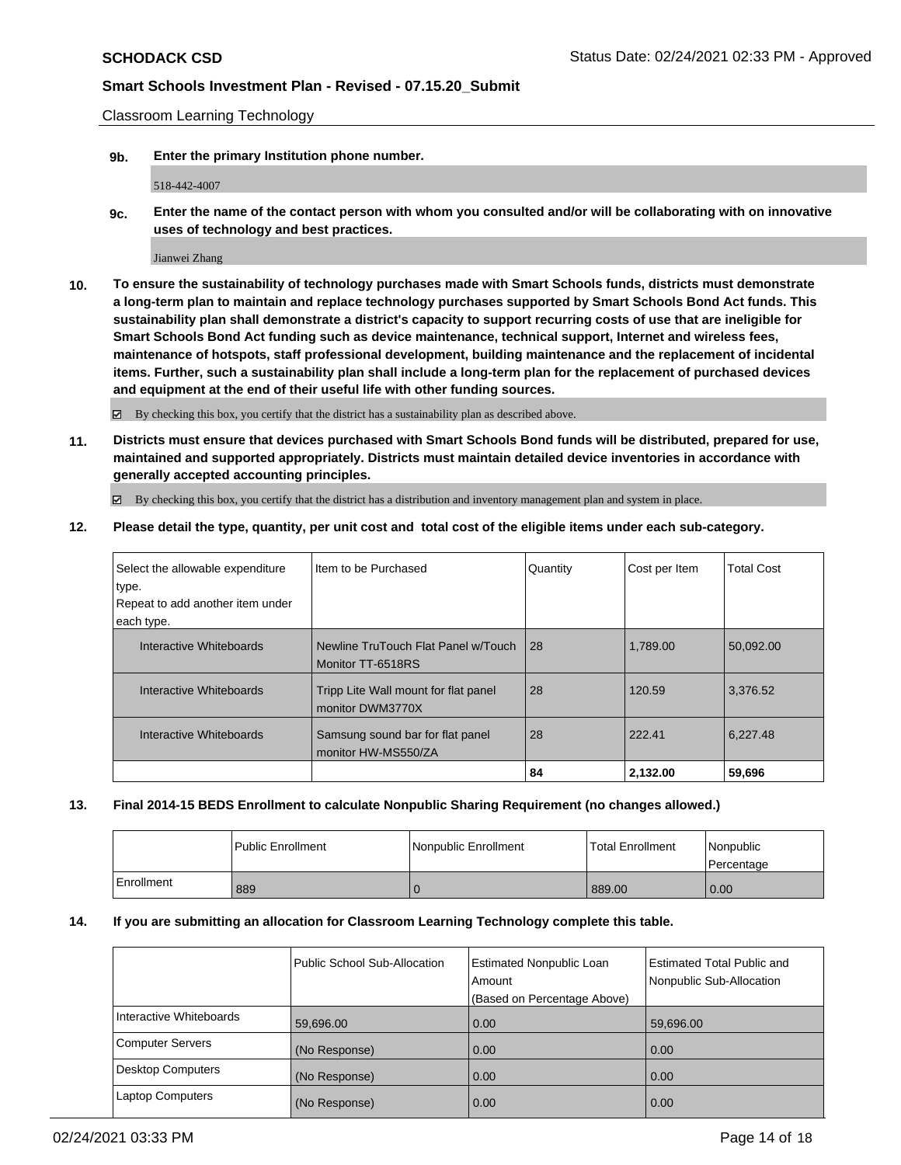Classroom Learning Technology

**9b. Enter the primary Institution phone number.**

518-442-4007

**9c. Enter the name of the contact person with whom you consulted and/or will be collaborating with on innovative uses of technology and best practices.**

Jianwei Zhang

**10. To ensure the sustainability of technology purchases made with Smart Schools funds, districts must demonstrate a long-term plan to maintain and replace technology purchases supported by Smart Schools Bond Act funds. This sustainability plan shall demonstrate a district's capacity to support recurring costs of use that are ineligible for Smart Schools Bond Act funding such as device maintenance, technical support, Internet and wireless fees, maintenance of hotspots, staff professional development, building maintenance and the replacement of incidental items. Further, such a sustainability plan shall include a long-term plan for the replacement of purchased devices and equipment at the end of their useful life with other funding sources.**

By checking this box, you certify that the district has a sustainability plan as described above.

**11. Districts must ensure that devices purchased with Smart Schools Bond funds will be distributed, prepared for use, maintained and supported appropriately. Districts must maintain detailed device inventories in accordance with generally accepted accounting principles.**

By checking this box, you certify that the district has a distribution and inventory management plan and system in place.

**12. Please detail the type, quantity, per unit cost and total cost of the eligible items under each sub-category.**

| Select the allowable expenditure<br>type. | I Item to be Purchased                                   | Quantity | Cost per Item | <b>Total Cost</b> |
|-------------------------------------------|----------------------------------------------------------|----------|---------------|-------------------|
| Repeat to add another item under          |                                                          |          |               |                   |
| each type.                                |                                                          |          |               |                   |
| Interactive Whiteboards                   | Newline TruTouch Flat Panel w/Touch<br>Monitor TT-6518RS | 28       | 1.789.00      | 50,092.00         |
| Interactive Whiteboards                   | Tripp Lite Wall mount for flat panel<br>monitor DWM3770X | 28       | 120.59        | 3,376.52          |
| Interactive Whiteboards                   | Samsung sound bar for flat panel<br>monitor HW-MS550/ZA  | 28       | 222.41        | 6,227.48          |
|                                           |                                                          | 84       | 2.132.00      | 59,696            |

#### **13. Final 2014-15 BEDS Enrollment to calculate Nonpublic Sharing Requirement (no changes allowed.)**

|            | l Public Enrollment | l Nonpublic Enrollment | <b>Total Enrollment</b> | <i>Nonpublic</i><br><b>I</b> Percentage |
|------------|---------------------|------------------------|-------------------------|-----------------------------------------|
| Enrollment | 889                 |                        | 889.00                  | 0.00                                    |

#### **14. If you are submitting an allocation for Classroom Learning Technology complete this table.**

|                         | Public School Sub-Allocation | Estimated Nonpublic Loan<br>Amount<br>(Based on Percentage Above) | <b>Estimated Total Public and</b><br>Nonpublic Sub-Allocation |
|-------------------------|------------------------------|-------------------------------------------------------------------|---------------------------------------------------------------|
| Interactive Whiteboards | 59,696.00                    | 0.00                                                              | 59,696.00                                                     |
| Computer Servers        | (No Response)                | 0.00                                                              | 0.00                                                          |
| Desktop Computers       | (No Response)                | 0.00                                                              | 0.00                                                          |
| Laptop Computers        | (No Response)                | 0.00                                                              | 0.00                                                          |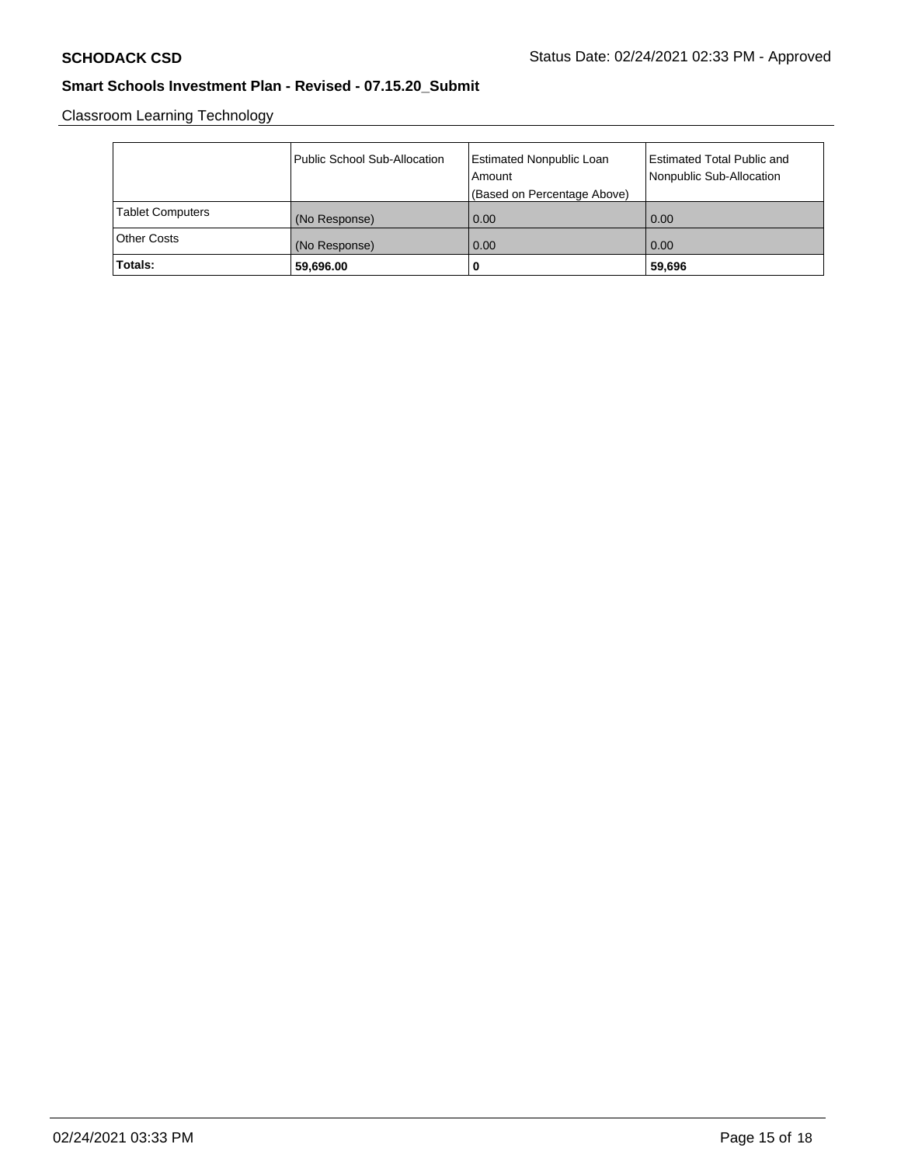Classroom Learning Technology

|                         | Public School Sub-Allocation | Estimated Nonpublic Loan<br>Amount | Estimated Total Public and<br>Nonpublic Sub-Allocation |
|-------------------------|------------------------------|------------------------------------|--------------------------------------------------------|
|                         |                              | (Based on Percentage Above)        |                                                        |
| <b>Tablet Computers</b> | (No Response)                | 0.00                               | 0.00                                                   |
| <b>Other Costs</b>      | (No Response)                | 0.00                               | 0.00                                                   |
| Totals:                 | 59,696.00                    | 0                                  | 59,696                                                 |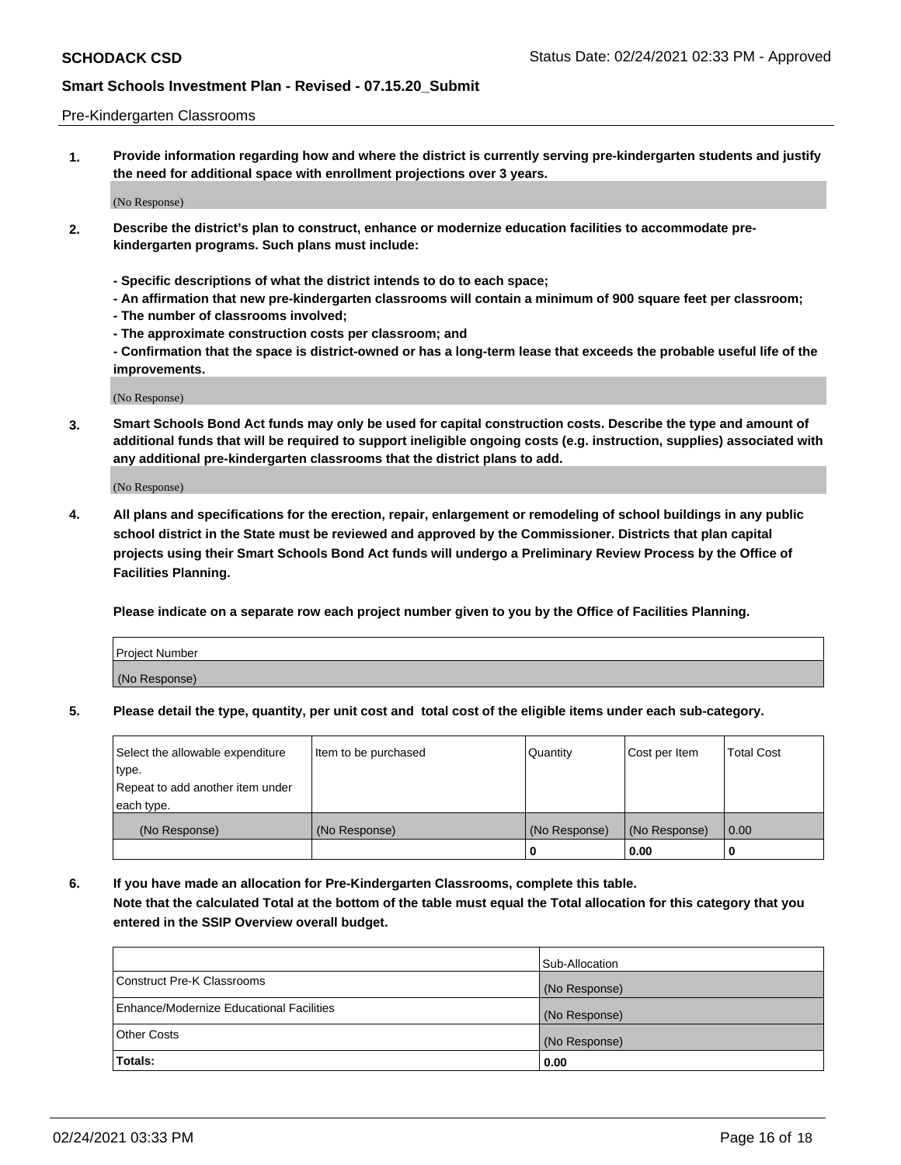#### Pre-Kindergarten Classrooms

**1. Provide information regarding how and where the district is currently serving pre-kindergarten students and justify the need for additional space with enrollment projections over 3 years.**

(No Response)

- **2. Describe the district's plan to construct, enhance or modernize education facilities to accommodate prekindergarten programs. Such plans must include:**
	- **Specific descriptions of what the district intends to do to each space;**
	- **An affirmation that new pre-kindergarten classrooms will contain a minimum of 900 square feet per classroom;**
	- **The number of classrooms involved;**
	- **The approximate construction costs per classroom; and**
	- **Confirmation that the space is district-owned or has a long-term lease that exceeds the probable useful life of the improvements.**

(No Response)

**3. Smart Schools Bond Act funds may only be used for capital construction costs. Describe the type and amount of additional funds that will be required to support ineligible ongoing costs (e.g. instruction, supplies) associated with any additional pre-kindergarten classrooms that the district plans to add.**

(No Response)

**4. All plans and specifications for the erection, repair, enlargement or remodeling of school buildings in any public school district in the State must be reviewed and approved by the Commissioner. Districts that plan capital projects using their Smart Schools Bond Act funds will undergo a Preliminary Review Process by the Office of Facilities Planning.**

**Please indicate on a separate row each project number given to you by the Office of Facilities Planning.**

| Project Number |  |
|----------------|--|
| (No Response)  |  |
|                |  |

**5. Please detail the type, quantity, per unit cost and total cost of the eligible items under each sub-category.**

| Select the allowable expenditure | Item to be purchased | Quantity      | Cost per Item | <b>Total Cost</b> |
|----------------------------------|----------------------|---------------|---------------|-------------------|
| type.                            |                      |               |               |                   |
| Repeat to add another item under |                      |               |               |                   |
| each type.                       |                      |               |               |                   |
| (No Response)                    | (No Response)        | (No Response) | (No Response) | 0.00              |
|                                  |                      | U             | 0.00          |                   |

**6. If you have made an allocation for Pre-Kindergarten Classrooms, complete this table. Note that the calculated Total at the bottom of the table must equal the Total allocation for this category that you entered in the SSIP Overview overall budget.**

| Totals:                                  | 0.00           |
|------------------------------------------|----------------|
| <b>Other Costs</b>                       | (No Response)  |
| Enhance/Modernize Educational Facilities | (No Response)  |
| Construct Pre-K Classrooms               | (No Response)  |
|                                          | Sub-Allocation |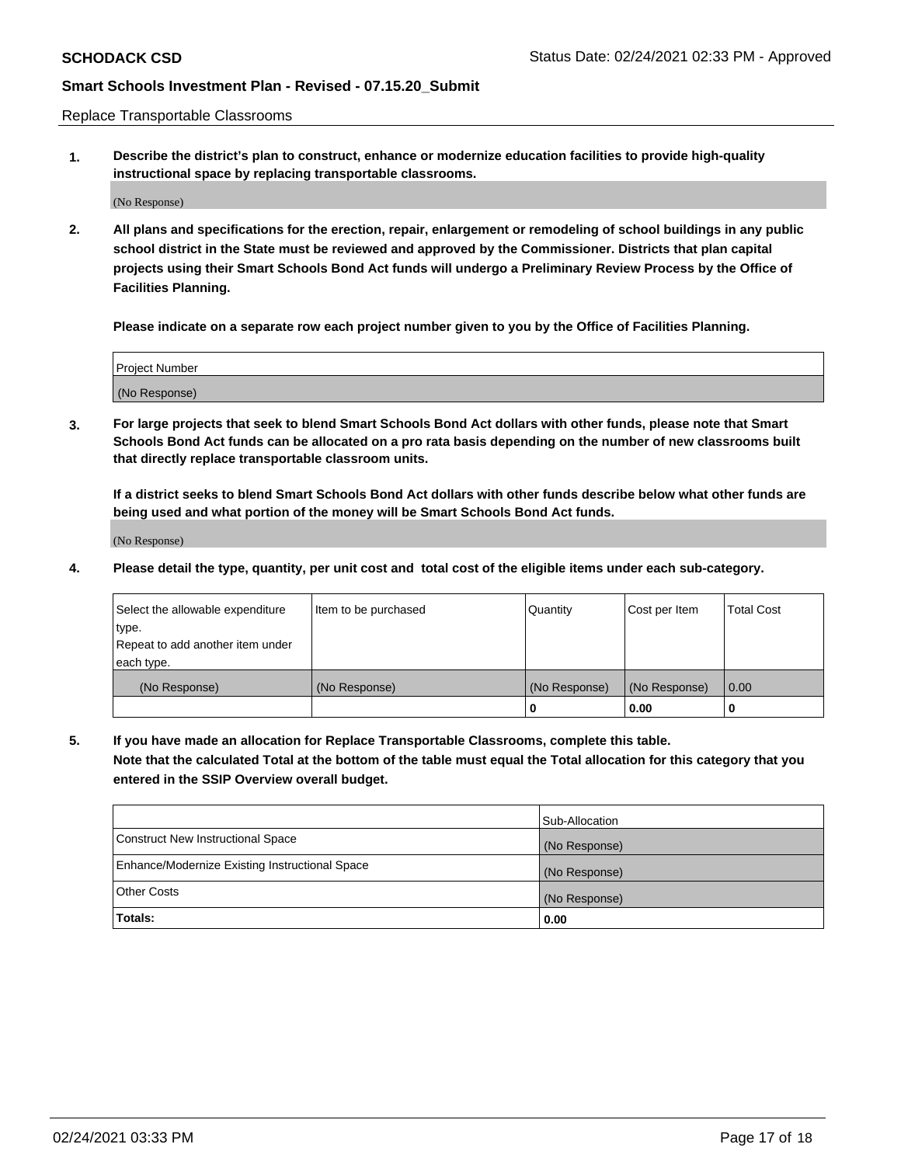Replace Transportable Classrooms

**1. Describe the district's plan to construct, enhance or modernize education facilities to provide high-quality instructional space by replacing transportable classrooms.**

(No Response)

**2. All plans and specifications for the erection, repair, enlargement or remodeling of school buildings in any public school district in the State must be reviewed and approved by the Commissioner. Districts that plan capital projects using their Smart Schools Bond Act funds will undergo a Preliminary Review Process by the Office of Facilities Planning.**

**Please indicate on a separate row each project number given to you by the Office of Facilities Planning.**

| Project Number |  |
|----------------|--|
|                |  |
|                |  |
|                |  |
| (No Response)  |  |
|                |  |
|                |  |

**3. For large projects that seek to blend Smart Schools Bond Act dollars with other funds, please note that Smart Schools Bond Act funds can be allocated on a pro rata basis depending on the number of new classrooms built that directly replace transportable classroom units.**

**If a district seeks to blend Smart Schools Bond Act dollars with other funds describe below what other funds are being used and what portion of the money will be Smart Schools Bond Act funds.**

(No Response)

**4. Please detail the type, quantity, per unit cost and total cost of the eligible items under each sub-category.**

| Select the allowable expenditure           | Item to be purchased | Quantity      | Cost per Item | <b>Total Cost</b> |
|--------------------------------------------|----------------------|---------------|---------------|-------------------|
| ∣type.<br>Repeat to add another item under |                      |               |               |                   |
| each type.                                 |                      |               |               |                   |
| (No Response)                              | (No Response)        | (No Response) | (No Response) | 0.00              |
|                                            |                      | 0             | 0.00          |                   |

**5. If you have made an allocation for Replace Transportable Classrooms, complete this table. Note that the calculated Total at the bottom of the table must equal the Total allocation for this category that you entered in the SSIP Overview overall budget.**

|                                                | Sub-Allocation |
|------------------------------------------------|----------------|
| Construct New Instructional Space              | (No Response)  |
| Enhance/Modernize Existing Instructional Space | (No Response)  |
| Other Costs                                    | (No Response)  |
| Totals:                                        | 0.00           |